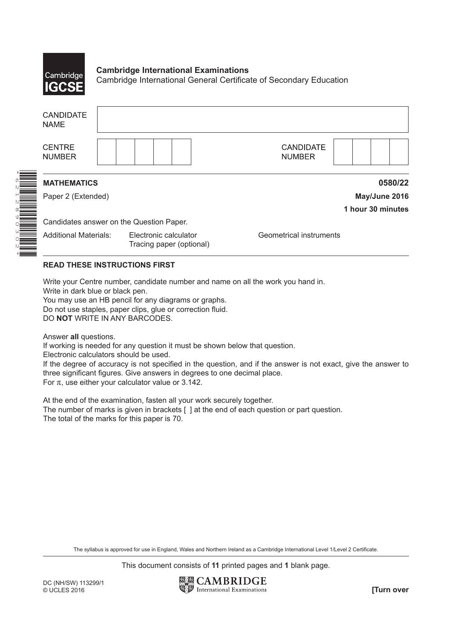

## **Cambridge International Examinations** Cambridge International General Certificate of Secondary Education

| <b>CANDIDATE</b><br><b>NAME</b>          |                                                   |                                   |  |  |  |  |  |  |  |
|------------------------------------------|---------------------------------------------------|-----------------------------------|--|--|--|--|--|--|--|
| <b>CENTRE</b><br><b>NUMBER</b>           |                                                   | <b>CANDIDATE</b><br><b>NUMBER</b> |  |  |  |  |  |  |  |
| <b>MATHEMATICS</b>                       |                                                   | 0580/22                           |  |  |  |  |  |  |  |
| Paper 2 (Extended)                       |                                                   | May/June 2016                     |  |  |  |  |  |  |  |
|                                          |                                                   | 1 hour 30 minutes                 |  |  |  |  |  |  |  |
| Candidates answer on the Question Paper. |                                                   |                                   |  |  |  |  |  |  |  |
| <b>Additional Materials:</b>             | Electronic calculator<br>Tracing paper (optional) | Geometrical instruments           |  |  |  |  |  |  |  |

## **READ THESE INSTRUCTIONS FIRST**

Write your Centre number, candidate number and name on all the work you hand in.

Write in dark blue or black pen.

You may use an HB pencil for any diagrams or graphs.

Do not use staples, paper clips, glue or correction fluid.

DO **NOT** WRITE IN ANY BARCODES.

Answer **all** questions.

If working is needed for any question it must be shown below that question.

Electronic calculators should be used.

If the degree of accuracy is not specified in the question, and if the answer is not exact, give the answer to three significant figures. Give answers in degrees to one decimal place.

For  $\pi$ , use either your calculator value or 3.142.

At the end of the examination, fasten all your work securely together. The number of marks is given in brackets [ ] at the end of each question or part question. The total of the marks for this paper is 70.

The syllabus is approved for use in England, Wales and Northern Ireland as a Cambridge International Level 1/Level 2 Certificate.

This document consists of **11** printed pages and **1** blank page.

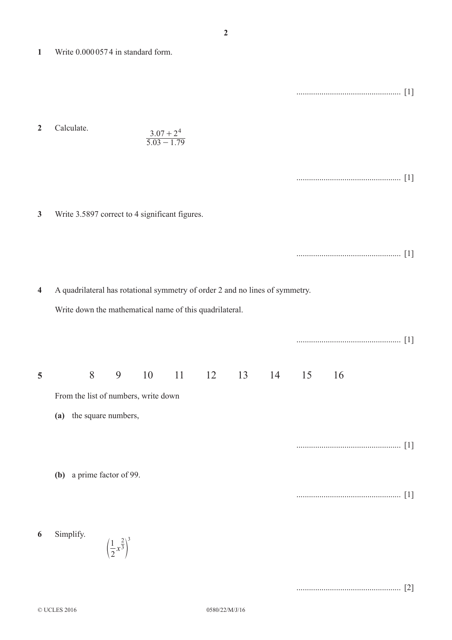**1**  Write 0.000 057 4 in standard form.

.................................................. [1]

2 Calculate.  

$$
\frac{3.07 + 2^4}{5.03 - 1.79}
$$

|--|--|--|

**3**  Write 3.5897 correct to 4 significant figures.

|--|--|--|

.................................................. [2]

**4**  A quadrilateral has rotational symmetry of order 2 and no lines of symmetry.

Write down the mathematical name of this quadrilateral.

|   |                                      |   |                                             |    |  |  |                              |    | $[1]$             |
|---|--------------------------------------|---|---------------------------------------------|----|--|--|------------------------------|----|-------------------|
| 5 |                                      | 8 | 9                                           | 10 |  |  | $11 \t 12 \t 13 \t 14 \t 15$ | 16 |                   |
|   | From the list of numbers, write down |   |                                             |    |  |  |                              |    |                   |
|   | (a)                                  |   | the square numbers,                         |    |  |  |                              |    |                   |
|   | (b) a prime factor of 99.            |   |                                             |    |  |  |                              |    | $\lceil 1 \rceil$ |
|   |                                      |   |                                             |    |  |  |                              |    | $[1]$             |
| 6 | Simplify.                            |   | $\left(\frac{1}{2}x^{\frac{2}{3}}\right)^3$ |    |  |  |                              |    |                   |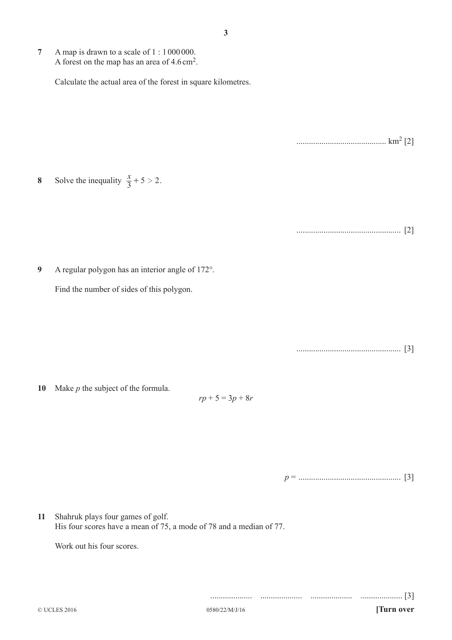**7**  A map is drawn to a scale of 1 : 1 000 000. A forest on the map has an area of 4.6cm2.

Calculate the actual area of the forest in square kilometres.

........................................... km2 [2]

**8** Solve the inequality  $\frac{x}{3} + 5 > 2$ .

.................................................. [2]

**9**  A regular polygon has an interior angle of 172°.

Find the number of sides of this polygon.

.................................................. [3]

**10**  Make *p* the subject of the formula.

*rp* + 5 = 3*p* + 8*r*

*p* = ................................................. [3]

.................... .................... .................... .................... [3]

**11**  Shahruk plays four games of golf. His four scores have a mean of 75, a mode of 78 and a median of 77.

Work out his four scores.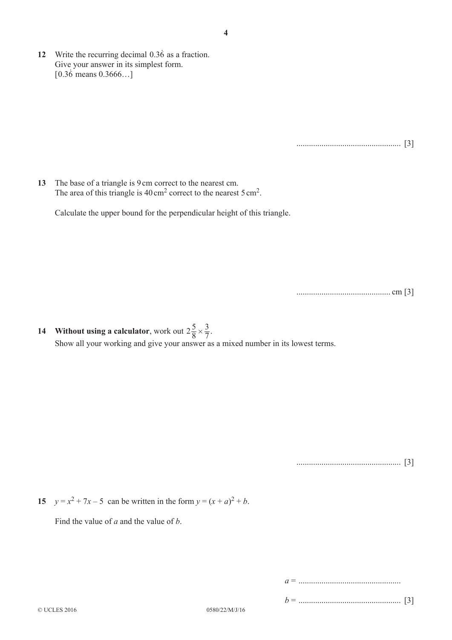.................................................. [3]

**13**  The base of a triangle is 9 cm correct to the nearest cm. The area of this triangle is  $40 \text{ cm}^2$  correct to the nearest 5 cm<sup>2</sup>.

Calculate the upper bound for the perpendicular height of this triangle.

............................................. cm [3]

**14** Without using a calculator, work out  $2\frac{5}{8}$ 7 3  $\times \frac{3}{7}$ . Show all your working and give your answer as a mixed number in its lowest terms.

.................................................. [3]

**15**  $y = x^2 + 7x - 5$  can be written in the form  $y = (x + a)^2 + b$ .

Find the value of *a* and the value of *b*.

*a* = .................................................

*b* = ................................................. [3]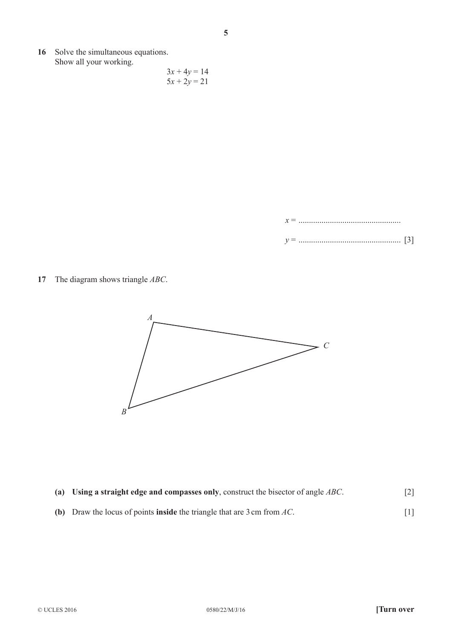**16**  Solve the simultaneous equations. Show all your working.

$$
3x + 4y = 14
$$
  

$$
5x + 2y = 21
$$

*x* = ................................................. *y* = ................................................. [3]

**17**  The diagram shows triangle *ABC*.



- **(a)** Using a straight edge and compasses only, construct the bisector of angle *ABC*. [2]
- **(b)** Draw the locus of points **inside** the triangle that are 3 cm from *AC*.  $[1]$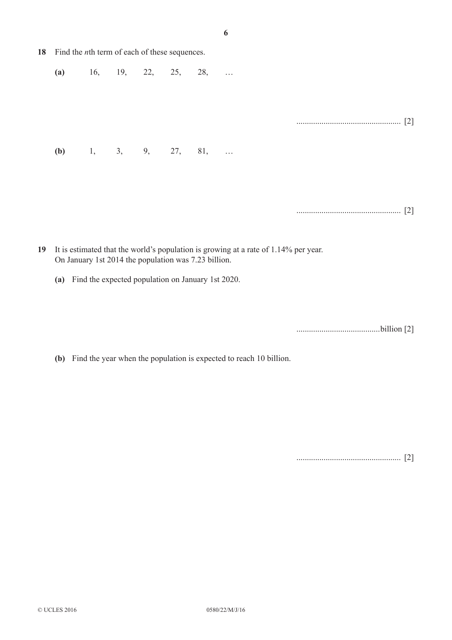| 18 Find the <i>n</i> th term of each of these sequences. |  |  |  |                       |  |  |                   |  |  |
|----------------------------------------------------------|--|--|--|-----------------------|--|--|-------------------|--|--|
| (a)                                                      |  |  |  | $16,$ 19, 22, 25, 28, |  |  |                   |  |  |
|                                                          |  |  |  |                       |  |  |                   |  |  |
|                                                          |  |  |  |                       |  |  | $\lceil 2 \rceil$ |  |  |
| (b)                                                      |  |  |  | 1, 3, 9, 27, 81,      |  |  |                   |  |  |
|                                                          |  |  |  |                       |  |  |                   |  |  |
|                                                          |  |  |  |                       |  |  |                   |  |  |
|                                                          |  |  |  |                       |  |  |                   |  |  |

- **19**  It is estimated that the world's population is growing at a rate of 1.14% per year. On January 1st 2014 the population was 7.23 billion.
	- **(a)**  Find the expected population on January 1st 2020.

........................................billion [2]

**(b)** Find the year when the population is expected to reach 10 billion.

.................................................. [2]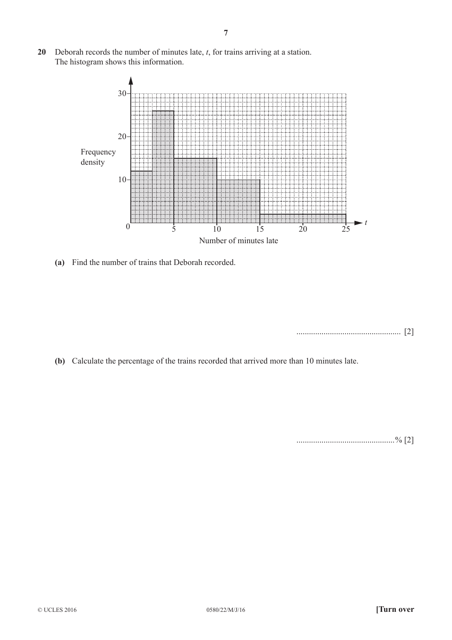**20**  Deborah records the number of minutes late, *t*, for trains arriving at a station. The histogram shows this information.



 **(a)**  Find the number of trains that Deborah recorded.

.................................................. [2]

**(b)** Calculate the percentage of the trains recorded that arrived more than 10 minutes late.

...............................................% [2]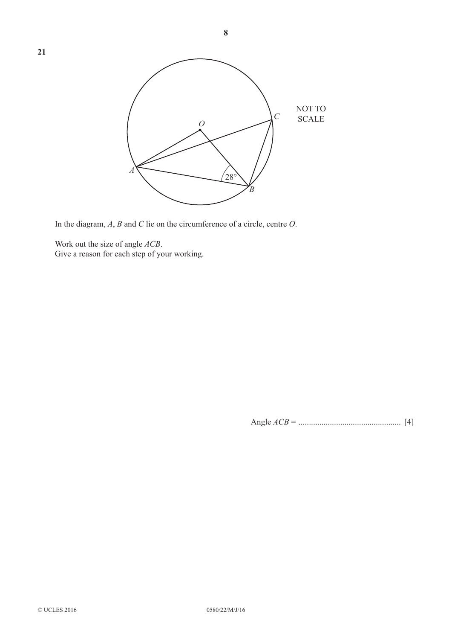

In the diagram, *A*, *B* and *C* lie on the circumference of a circle, centre *O*.

Work out the size of angle *ACB*. Give a reason for each step of your working.

**21** 

Angle *ACB* = ................................................. [4]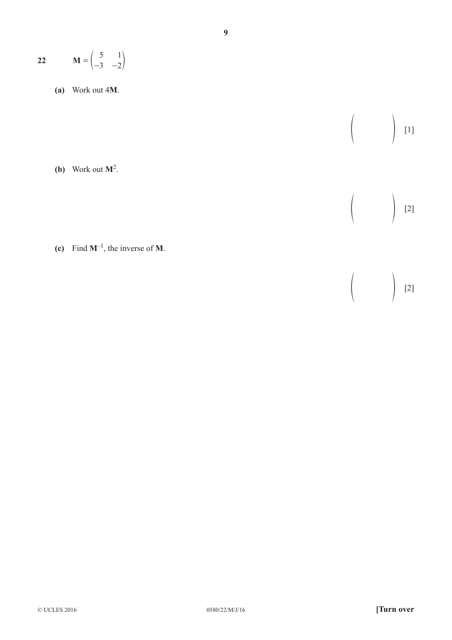$$
22 \qquad \mathbf{M} = \begin{pmatrix} 5 & 1 \\ -3 & -2 \end{pmatrix}
$$

 **(a)**  Work out 4**M**.

**(b)** Work out  $M^2$ .

**(c)** Find  $M^{-1}$ , the inverse of M.

 $\left(\begin{array}{cc} & & \\ & & \end{array}\right)$  [2]

 $\left(\begin{array}{cc} & & \\ & & \end{array}\right)$  [2]

 $[1]$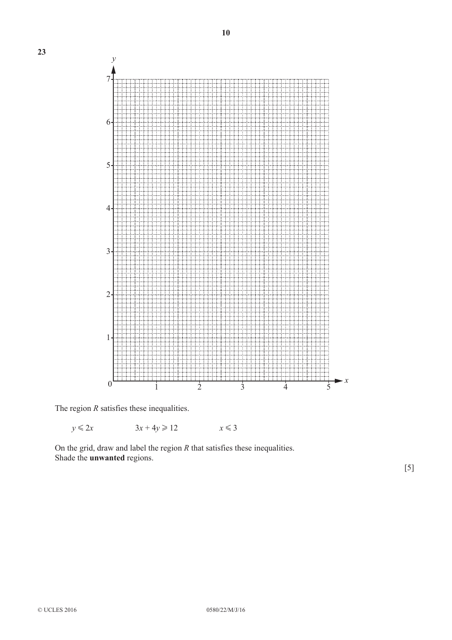

The region *R* satisfies these inequalities.

 $y \le 2x$   $3x + 4y \ge 12$   $x \le 3$ 

On the grid, draw and label the region *R* that satisfies these inequalities. Shade the **unwanted** regions.

[5]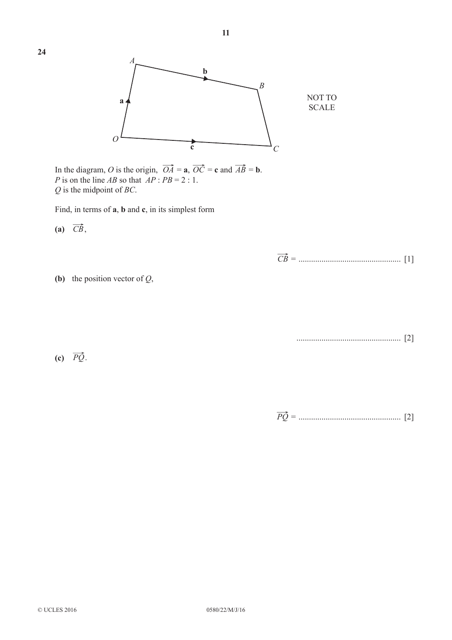

In the diagram, *O* is the origin,  $OA = \mathbf{a}$ ,  $OC = \mathbf{c}$  and  $AB = \mathbf{b}$ . *P* is on the line *AB* so that  $AP : PB = 2 : 1$ . *Q* is the midpoint of *BC*.

Find, in terms of **a**, **b** and **c**, in its simplest form

 $(a)$   $\overrightarrow{CB}$ ,

*CB* = ................................................. [1]

**(b)** the position vector of  $Q$ ,

.................................................. [2]

 $\overrightarrow{PQ}$ .

*PQ* = ................................................. [2]